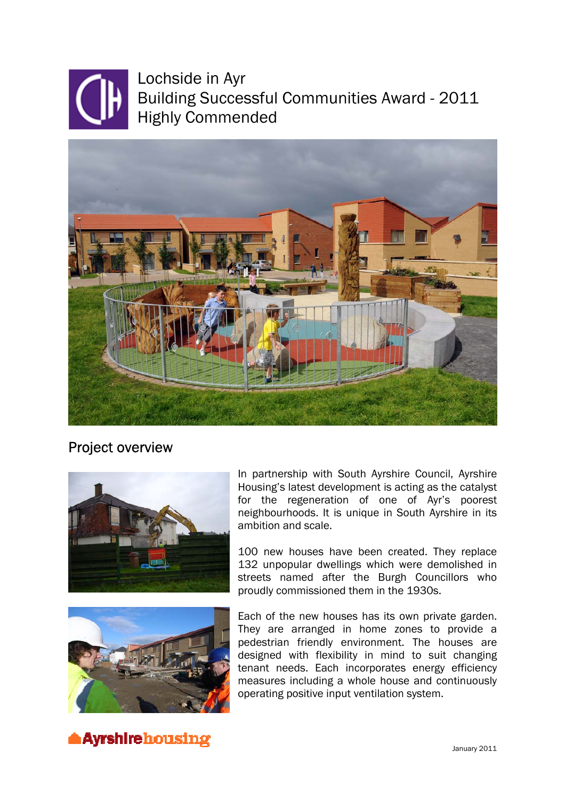

Lochside in Ayr Building Successful Communities Award - 2011 Highly Commended



Project overview



In partnership with South Ayrshire Council, Ayrshire Housing's latest development is acting as the catalyst for the regeneration of one of Ayr's poorest neighbourhoods. It is unique in South Ayrshire in its ambition and scale.

100 new houses have been created. They replace 132 unpopular dwellings which were demolished in streets named after the Burgh Councillors who proudly commissioned them in the 1930s.



Each of the new houses has its own private garden. They are arranged in home zones to provide a pedestrian friendly environment. The houses are designed with flexibility in mind to suit changing tenant needs. Each incorporates energy efficiency measures including a whole house and continuously operating positive input ventilation system.

**Ayrshirehousing January 2011**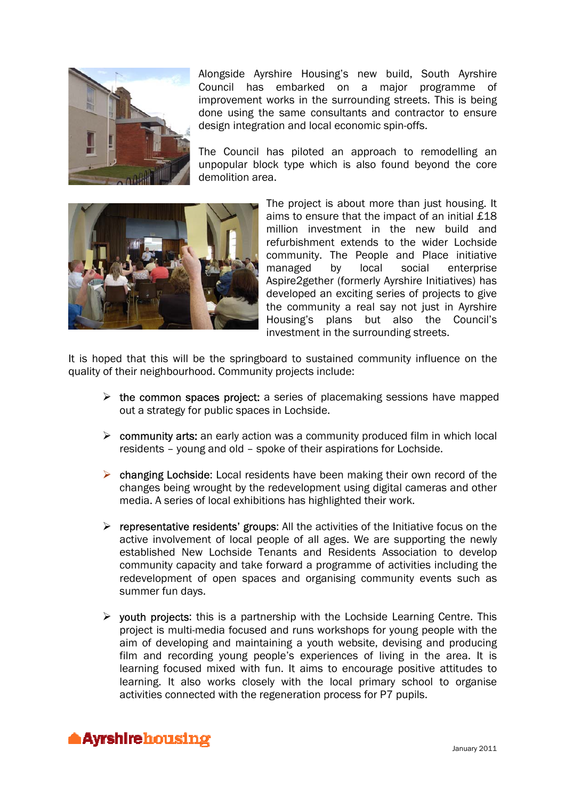

Alongside Ayrshire Housing's new build, South Ayrshire Council has embarked on a major programme of improvement works in the surrounding streets. This is being done using the same consultants and contractor to ensure design integration and local economic spin-offs.

The Council has piloted an approach to remodelling an unpopular block type which is also found beyond the core demolition area.



The project is about more than just housing. It aims to ensure that the impact of an initial £18 million investment in the new build and refurbishment extends to the wider Lochside community. The People and Place initiative managed by local social enterprise Aspire2gether (formerly Ayrshire Initiatives) has developed an exciting series of projects to give the community a real say not just in Ayrshire Housing's plans but also the Council's investment in the surrounding streets.

It is hoped that this will be the springboard to sustained community influence on the quality of their neighbourhood. Community projects include:

- $\triangleright$  the common spaces project: a series of placemaking sessions have mapped out a strategy for public spaces in Lochside.
- $\triangleright$  community arts: an early action was a community produced film in which local residents – young and old – spoke of their aspirations for Lochside.
- $\triangleright$  changing Lochside: Local residents have been making their own record of the changes being wrought by the redevelopment using digital cameras and other media. A series of local exhibitions has highlighted their work.
- $\triangleright$  representative residents' groups: All the activities of the Initiative focus on the active involvement of local people of all ages. We are supporting the newly established New Lochside Tenants and Residents Association to develop community capacity and take forward a programme of activities including the redevelopment of open spaces and organising community events such as summer fun days.
- $\triangleright$  youth projects: this is a partnership with the Lochside Learning Centre. This project is multi-media focused and runs workshops for young people with the aim of developing and maintaining a youth website, devising and producing film and recording young people's experiences of living in the area. It is learning focused mixed with fun. It aims to encourage positive attitudes to learning. It also works closely with the local primary school to organise activities connected with the regeneration process for P7 pupils.

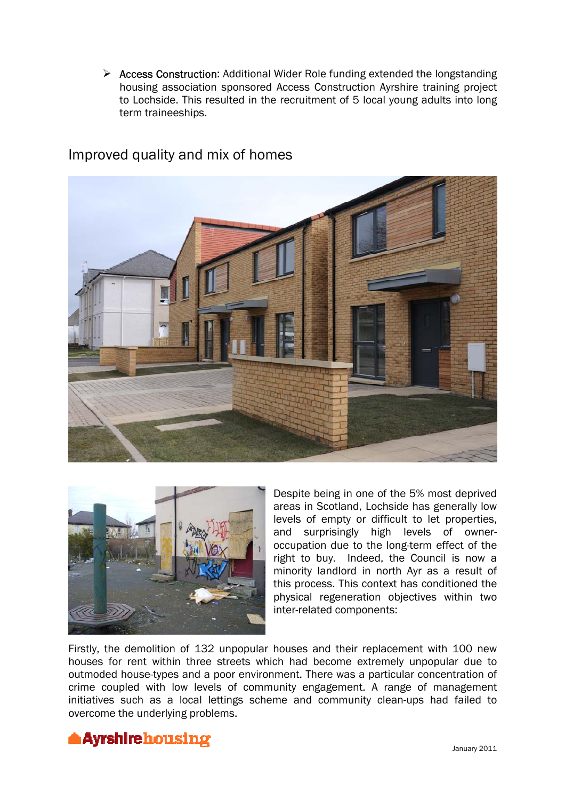$\triangleright$  Access Construction: Additional Wider Role funding extended the longstanding housing association sponsored Access Construction Ayrshire training project to Lochside. This resulted in the recruitment of 5 local young adults into long term traineeships.



## Improved quality and mix of homes



Despite being in one of the 5% most deprived areas in Scotland, Lochside has generally low levels of empty or difficult to let properties, and surprisingly high levels of owneroccupation due to the long-term effect of the right to buy. Indeed, the Council is now a minority landlord in north Ayr as a result of this process. This context has conditioned the physical regeneration objectives within two inter-related components:

Firstly, the demolition of 132 unpopular houses and their replacement with 100 new houses for rent within three streets which had become extremely unpopular due to outmoded house-types and a poor environment. There was a particular concentration of crime coupled with low levels of community engagement. A range of management initiatives such as a local lettings scheme and community clean-ups had failed to overcome the underlying problems.

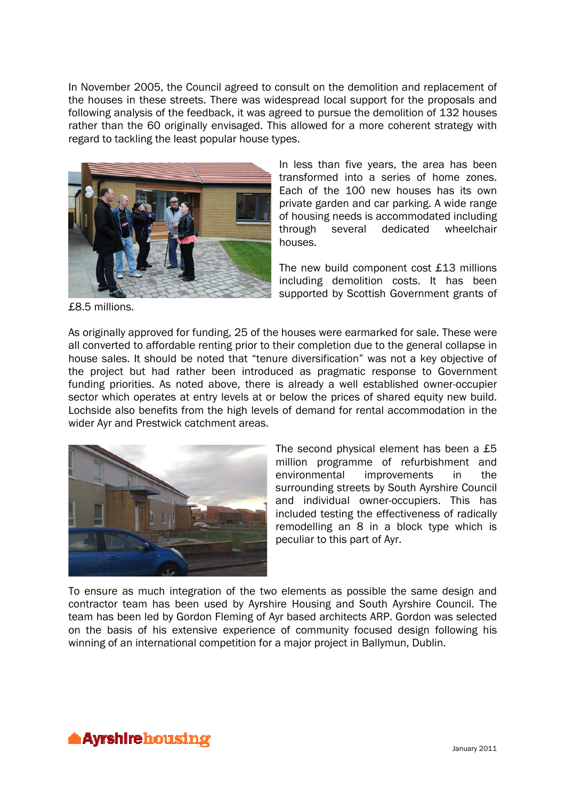In November 2005, the Council agreed to consult on the demolition and replacement of the houses in these streets. There was widespread local support for the proposals and following analysis of the feedback, it was agreed to pursue the demolition of 132 houses rather than the 60 originally envisaged. This allowed for a more coherent strategy with regard to tackling the least popular house types.



In less than five years, the area has been transformed into a series of home zones. Each of the 100 new houses has its own private garden and car parking. A wide range of housing needs is accommodated including through several dedicated wheelchair houses.

The new build component cost £13 millions including demolition costs. It has been supported by Scottish Government grants of

£8.5 millions.

As originally approved for funding, 25 of the houses were earmarked for sale. These were all converted to affordable renting prior to their completion due to the general collapse in house sales. It should be noted that "tenure diversification" was not a key objective of the project but had rather been introduced as pragmatic response to Government funding priorities. As noted above, there is already a well established owner-occupier sector which operates at entry levels at or below the prices of shared equity new build. Lochside also benefits from the high levels of demand for rental accommodation in the wider Ayr and Prestwick catchment areas.



The second physical element has been a £5 million programme of refurbishment and environmental improvements in the surrounding streets by South Ayrshire Council and individual owner-occupiers. This has included testing the effectiveness of radically remodelling an 8 in a block type which is peculiar to this part of Ayr.

To ensure as much integration of the two elements as possible the same design and contractor team has been used by Ayrshire Housing and South Ayrshire Council. The team has been led by Gordon Fleming of Ayr based architects ARP. Gordon was selected on the basis of his extensive experience of community focused design following his winning of an international competition for a major project in Ballymun, Dublin.

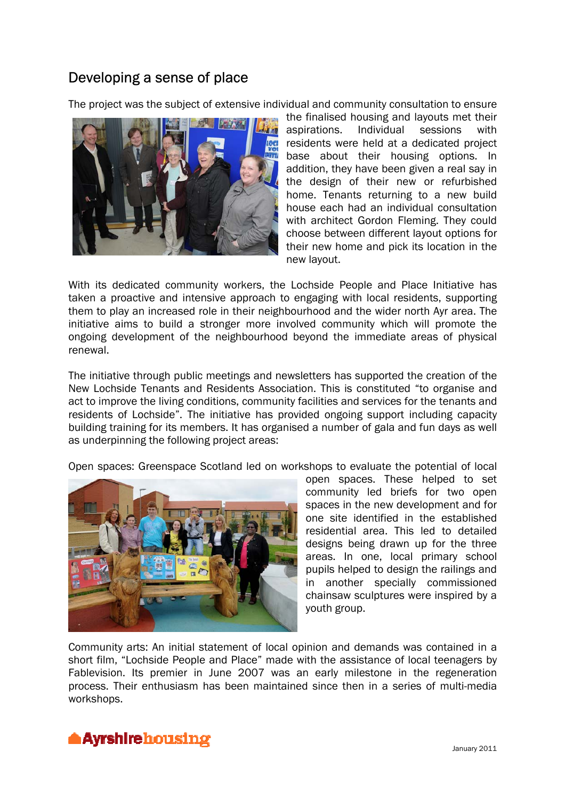# Developing a sense of place

The project was the subject of extensive individual and community consultation to ensure



the finalised housing and layouts met their aspirations. Individual sessions with residents were held at a dedicated project base about their housing options. In addition, they have been given a real say in the design of their new or refurbished home. Tenants returning to a new build house each had an individual consultation with architect Gordon Fleming. They could choose between different layout options for their new home and pick its location in the new layout.

With its dedicated community workers, the Lochside People and Place Initiative has taken a proactive and intensive approach to engaging with local residents, supporting them to play an increased role in their neighbourhood and the wider north Ayr area. The initiative aims to build a stronger more involved community which will promote the ongoing development of the neighbourhood beyond the immediate areas of physical renewal.

The initiative through public meetings and newsletters has supported the creation of the New Lochside Tenants and Residents Association. This is constituted "to organise and act to improve the living conditions, community facilities and services for the tenants and residents of Lochside". The initiative has provided ongoing support including capacity building training for its members. It has organised a number of gala and fun days as well as underpinning the following project areas:

Open spaces: Greenspace Scotland led on workshops to evaluate the potential of local



open spaces. These helped to set community led briefs for two open spaces in the new development and for one site identified in the established residential area. This led to detailed designs being drawn up for the three areas. In one, local primary school pupils helped to design the railings and in another specially commissioned chainsaw sculptures were inspired by a youth group.

Community arts: An initial statement of local opinion and demands was contained in a short film, "Lochside People and Place" made with the assistance of local teenagers by Fablevision. Its premier in June 2007 was an early milestone in the regeneration process. Their enthusiasm has been maintained since then in a series of multi-media workshops.

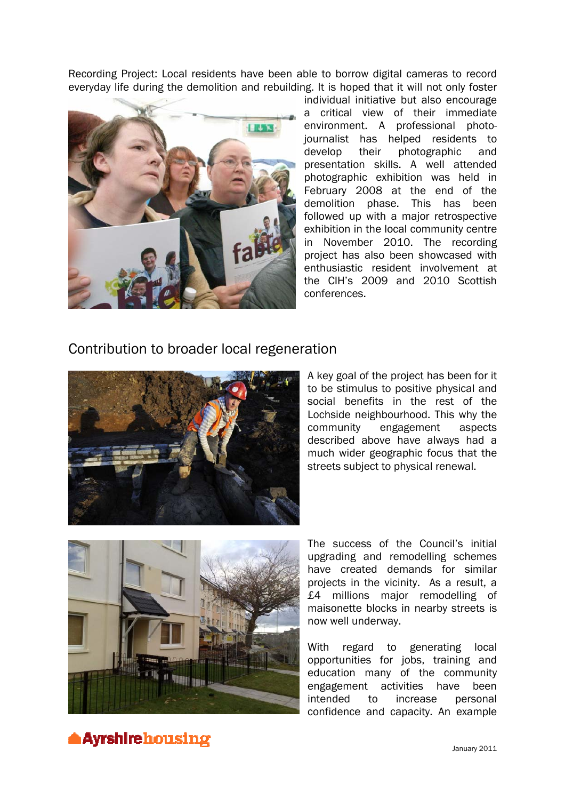Recording Project: Local residents have been able to borrow digital cameras to record everyday life during the demolition and rebuilding. It is hoped that it will not only foster



individual initiative but also encourage a critical view of their immediate environment. A professional photojournalist has helped residents to develop their photographic and presentation skills. A well attended photographic exhibition was held in February 2008 at the end of the demolition phase. This has been followed up with a major retrospective exhibition in the local community centre in November 2010. The recording project has also been showcased with enthusiastic resident involvement at the CIH's 2009 and 2010 Scottish conferences.

#### Contribution to broader local regeneration



A key goal of the project has been for it to be stimulus to positive physical and social benefits in the rest of the Lochside neighbourhood. This why the community engagement aspects described above have always had a much wider geographic focus that the streets subject to physical renewal.



The success of the Council's initial upgrading and remodelling schemes have created demands for similar projects in the vicinity. As a result, a £4 millions major remodelling of maisonette blocks in nearby streets is now well underway.

With regard to generating local opportunities for jobs, training and education many of the community engagement activities have been intended to increase personal confidence and capacity. An example

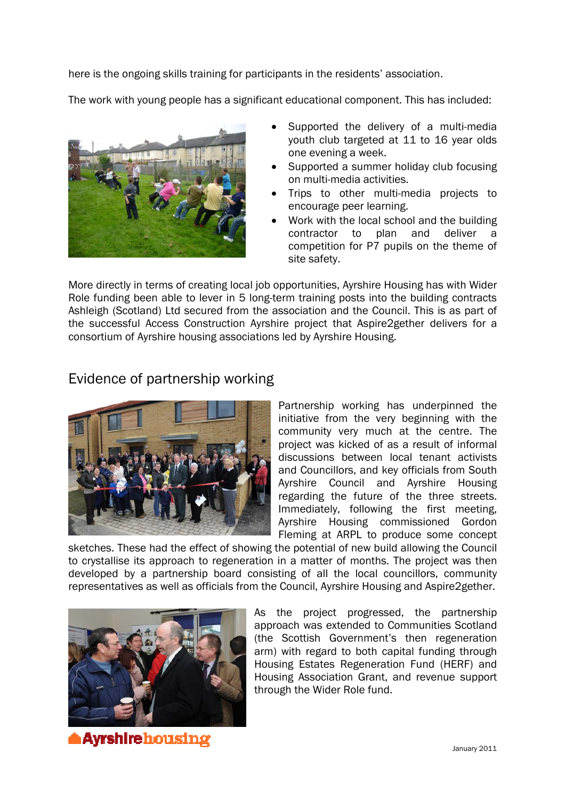here is the ongoing skills training for participants in the residents' association.

The work with young people has a significant educational component. This has included:



- Supported the delivery of a multi-media youth club targeted at 11 to 16 year olds one evening a week.
- Supported a summer holiday club focusing on multi-media activities.
- Trips to other multi-media projects to encourage peer learning.
- Work with the local school and the building contractor to plan and deliver a competition for P7 pupils on the theme of site safety.

More directly in terms of creating local job opportunities, Ayrshire Housing has with Wider Role funding been able to lever in 5 long-term training posts into the building contracts Ashleigh (Scotland) Ltd secured from the association and the Council. This is as part of the successful Access Construction Ayrshire project that Aspire2gether delivers for a consortium of Ayrshire housing associations led by Ayrshire Housing.

## Evidence of partnership working



Partnership working has underpinned the initiative from the very beginning with the community very much at the centre. The project was kicked of as a result of informal discussions between local tenant activists and Councillors, and key officials from South Ayrshire Council and Ayrshire Housing regarding the future of the three streets. Immediately, following the first meeting, Ayrshire Housing commissioned Gordon Fleming at ARPL to produce some concept

sketches. These had the effect of showing the potential of new build allowing the Council to crystallise its approach to regeneration in a matter of months. The project was then developed by a partnership board consisting of all the local councillors, community representatives as well as officials from the Council, Ayrshire Housing and Aspire2gether.



As the project progressed, the partnership approach was extended to Communities Scotland (the Scottish Government's then regeneration arm) with regard to both capital funding through Housing Estates Regeneration Fund (HERF) and Housing Association Grant, and revenue support through the Wider Role fund.